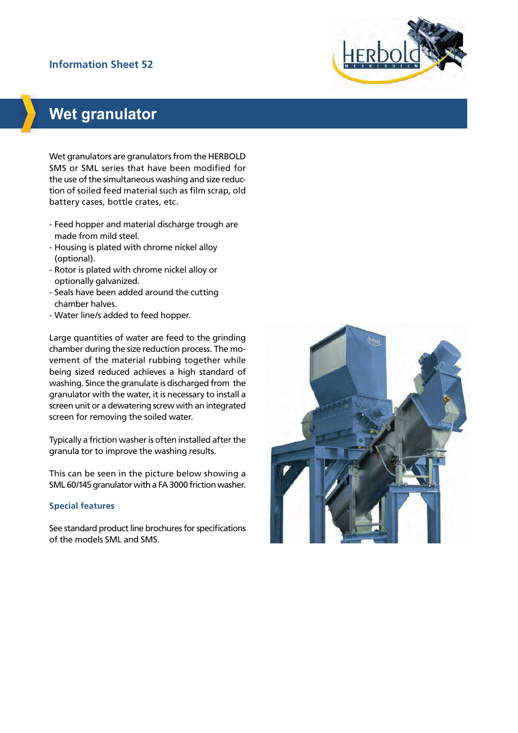# **Information Sheet 52**



# **Wet granulator**

Wet granulators are granulators from the HERBOLD SMS or SML series that have been modified for the use of the simultaneous washing and size reduction of soiled feed material such as film scrap, old battery cases, bottle crates, etc.

- Feed hopper and material discharge trough are made from mild steel.
- Housing is plated with chrome nickel alloy (optional).
- Rotor is plated with chrome nickel alloy or optionally galvanized.
- Seals have been added around the cutting chamber halves.
- Water line/s added to feed hopper.

Large quantities of water are feed to the grinding chamber during the size reduction process. The movement of the material rubbing together while being sized reduced achieves a high standard of washing. Since the granulate is discharged from the granulator with the water, it is necessary to install a screen unit or a dewatering screw with an integrated screen for removing the soiled water.

Typically a friction washer is often installed after the granula tor to improve the washing results.

This can be seen in the picture below showing a SML 60/145 granulator with a FA 3000 friction washer.

## **Special features**

See standard product line brochures for specifications of the models SML and SMS.